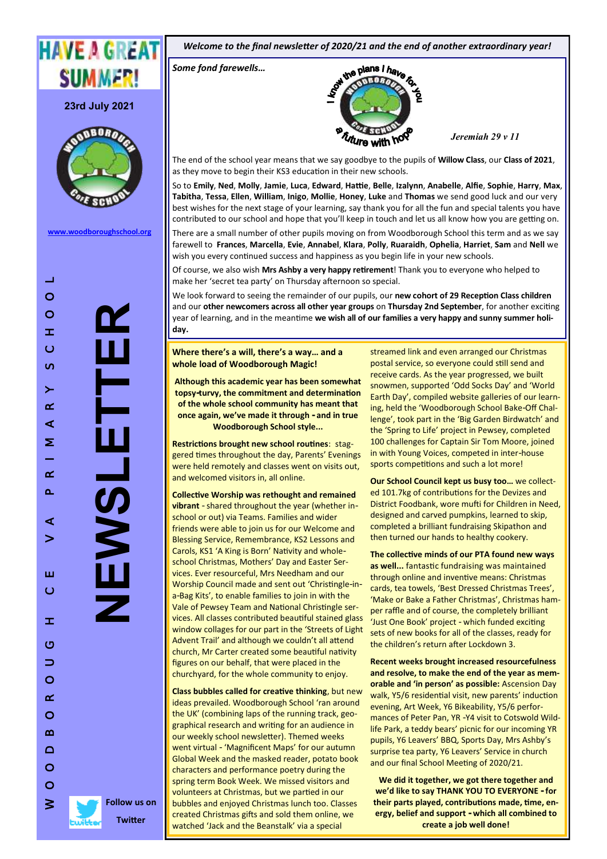

**23rd July 2021**



**[www.woodboroughschool.org](https://woodboroughschool.org/)**

**NEWSLETTER**

 $\equiv$ 

**Follow us on Twitter**

*Welcome to the final newsletter of 2020/21 and the end of another extraordinary year!*

*Some fond farewells…*



*Jeremiah 29 v 11*

The end of the school year means that we say goodbye to the pupils of **Willow Class**, our **Class of 2021**, as they move to begin their KS3 education in their new schools.

So to **Emily**, **Ned**, **Molly**, **Jamie**, **Luca**, **Edward**, **Hattie**, **Belle**, **Izalynn**, **Anabelle**, **Alfie**, **Sophie**, **Harry**, **Max**, **Tabitha**, **Tessa**, **Ellen**, **William**, **Inigo**, **Mollie**, **Honey**, **Luke** and **Thomas** we send good luck and our very best wishes for the next stage of your learning, say thank you for all the fun and special talents you have contributed to our school and hope that you'll keep in touch and let us all know how you are getting on.

There are a small number of other pupils moving on from Woodborough School this term and as we say farewell to **Frances**, **Marcella**, **Evie**, **Annabel**, **Klara**, **Polly**, **Ruaraidh**, **Ophelia**, **Harriet**, **Sam** and **Nell** we wish you every continued success and happiness as you begin life in your new schools.

Of course, we also wish **Mrs Ashby a very happy retirement**! Thank you to everyone who helped to make her 'secret tea party' on Thursday afternoon so special.

We look forward to seeing the remainder of our pupils, our **new cohort of 29 Reception Class children** and our **other newcomers across all other year groups** on **Thursday 2nd September**, for another exciting year of learning, and in the meantime **we wish all of our families a very happy and sunny summer holiday.**

**Where there's a will, there's a way… and a whole load of Woodborough Magic!**

**Although this academic year has been somewhat topsy-turvy, the commitment and determination of the whole school community has meant that once again, we've made it through - and in true Woodborough School style...**

**Restrictions brought new school routines**: staggered times throughout the day, Parents' Evenings were held remotely and classes went on visits out, and welcomed visitors in, all online.

**Collective Worship was rethought and remained vibrant** - shared throughout the year (whether inschool or out) via Teams. Families and wider friends were able to join us for our Welcome and Blessing Service, Remembrance, KS2 Lessons and Carols, KS1 'A King is Born' Nativity and wholeschool Christmas, Mothers' Day and Easter Services. Ever resourceful, Mrs Needham and our Worship Council made and sent out 'Christingle-ina-Bag Kits', to enable families to join in with the Vale of Pewsey Team and National Christingle services. All classes contributed beautiful stained glass window collages for our part in the 'Streets of Light Advent Trail' and although we couldn't all attend church, Mr Carter created some beautiful nativity figures on our behalf, that were placed in the churchyard, for the whole community to enjoy.

**Class bubbles called for creative thinking**, but new ideas prevailed. Woodborough School 'ran around the UK' (combining laps of the running track, geographical research and writing for an audience in our weekly school newsletter). Themed weeks went virtual - 'Magnificent Maps' for our autumn Global Week and the masked reader, potato book characters and performance poetry during the spring term Book Week. We missed visitors and volunteers at Christmas, but we partied in our bubbles and enjoyed Christmas lunch too. Classes created Christmas gifts and sold them online, we watched 'Jack and the Beanstalk' via a special

streamed link and even arranged our Christmas postal service, so everyone could still send and receive cards. As the year progressed, we built snowmen, supported 'Odd Socks Day' and 'World Earth Day', compiled website galleries of our learning, held the 'Woodborough School Bake-Off Challenge', took part in the 'Big Garden Birdwatch' and the 'Spring to Life' project in Pewsey, completed 100 challenges for Captain Sir Tom Moore, joined in with Young Voices, competed in inter-house sports competitions and such a lot more!

**Our School Council kept us busy too…** we collected 101.7kg of contributions for the Devizes and District Foodbank, wore mufti for Children in Need, designed and carved pumpkins, learned to skip, completed a brilliant fundraising Skipathon and then turned our hands to healthy cookery.

**The collective minds of our PTA found new ways as well...** fantastic fundraising was maintained through online and inventive means: Christmas cards, tea towels, 'Best Dressed Christmas Trees', 'Make or Bake a Father Christmas', Christmas hamper raffle and of course, the completely brilliant 'Just One Book' project - which funded exciting sets of new books for all of the classes, ready for the children's return after Lockdown 3.

**Recent weeks brought increased resourcefulness and resolve, to make the end of the year as memorable and 'in person' as possible:** Ascension Day walk, Y5/6 residential visit, new parents' induction evening, Art Week, Y6 Bikeability, Y5/6 performances of Peter Pan, YR -Y4 visit to Cotswold Wildlife Park, a teddy bears' picnic for our incoming YR pupils, Y6 Leavers' BBQ, Sports Day, Mrs Ashby's surprise tea party, Y6 Leavers' Service in church and our final School Meeting of 2020/21.

**We did it together, we got there together and we'd like to say THANK YOU TO EVERYONE - for their parts played, contributions made, time, energy, belief and support - which all combined to create a job well done!**